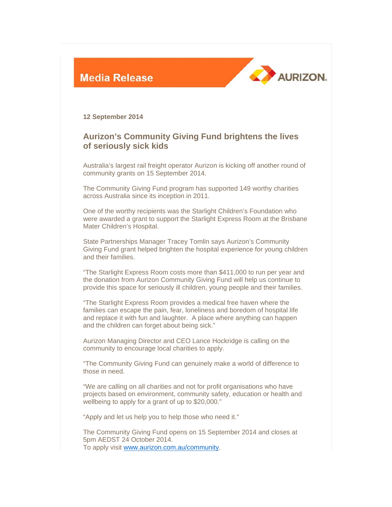



**12 September 2014** 

## **Aurizon's Community Giving Fund brightens the lives of seriously sick kids**

Australia's largest rail freight operator Aurizon is kicking off another round of community grants on 15 September 2014.

The Community Giving Fund program has supported 149 worthy charities across Australia since its inception in 2011.

One of the worthy recipients was the Starlight Children's Foundation who were awarded a grant to support the Starlight Express Room at the Brisbane Mater Children's Hospital.

State Partnerships Manager Tracey Tomlin says Aurizon's Community Giving Fund grant helped brighten the hospital experience for young children and their families.

"The Starlight Express Room costs more than \$411,000 to run per year and the donation from Aurizon Community Giving Fund will help us continue to provide this space for seriously ill children, young people and their families.

"The Starlight Express Room provides a medical free haven where the families can escape the pain, fear, loneliness and boredom of hospital life and replace it with fun and laughter. A place where anything can happen and the children can forget about being sick."

Aurizon Managing Director and CEO Lance Hockridge is calling on the community to encourage local charities to apply.

"The Community Giving Fund can genuinely make a world of difference to those in need.

"We are calling on all charities and not for profit organisations who have projects based on environment, community safety, education or health and wellbeing to apply for a grant of up to \$20,000."

"Apply and let us help you to help those who need it."

The Community Giving Fund opens on 15 September 2014 and closes at 5pm AEDST 24 October 2014. To apply visit www.aurizon.com.au/community.